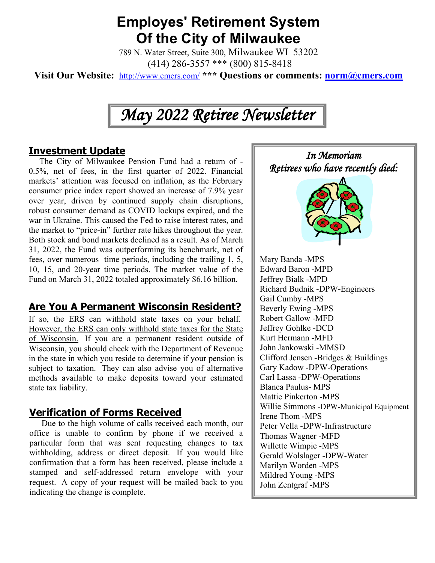# **Employes' Retirement System Of the City of Milwaukee**

789 N. Water Street, Suite 300, Milwaukee WI 53202 (414) 286-3557 \*\*\* (800) 815-8418

**Visit Our Website:** <http://www.cmers.com/> **\*\*\* Questions or comments: [norm@cmers.com](mailto:norm@cmers.com)**

# *May 2022 Retiree Newsletter*

#### **Investment Update**

 The City of Milwaukee Pension Fund had a return of - 0.5%, net of fees, in the first quarter of 2022. Financial markets' attention was focused on inflation, as the February consumer price index report showed an increase of 7.9% year over year, driven by continued supply chain disruptions, robust consumer demand as COVID lockups expired, and the war in Ukraine. This caused the Fed to raise interest rates, and the market to "price-in" further rate hikes throughout the year. Both stock and bond markets declined as a result. As of March 31, 2022, the Fund was outperforming its benchmark, net of fees, over numerous time periods, including the trailing 1, 5, 10, 15, and 20-year time periods. The market value of the Fund on March 31, 2022 totaled approximately \$6.16 billion.

## **Are You A Permanent Wisconsin Resident?**

If so, the ERS can withhold state taxes on your behalf. However, the ERS can only withhold state taxes for the State of Wisconsin. If you are a permanent resident outside of Wisconsin, you should check with the Department of Revenue in the state in which you reside to determine if your pension is subject to taxation. They can also advise you of alternative methods available to make deposits toward your estimated state tax liability.

#### **Verification of Forms Received**

Due to the high volume of calls received each month, our office is unable to confirm by phone if we received a particular form that was sent requesting changes to tax withholding, address or direct deposit. If you would like confirmation that a form has been received, please include a stamped and self-addressed return envelope with your request. A copy of your request will be mailed back to you indicating the change is complete.